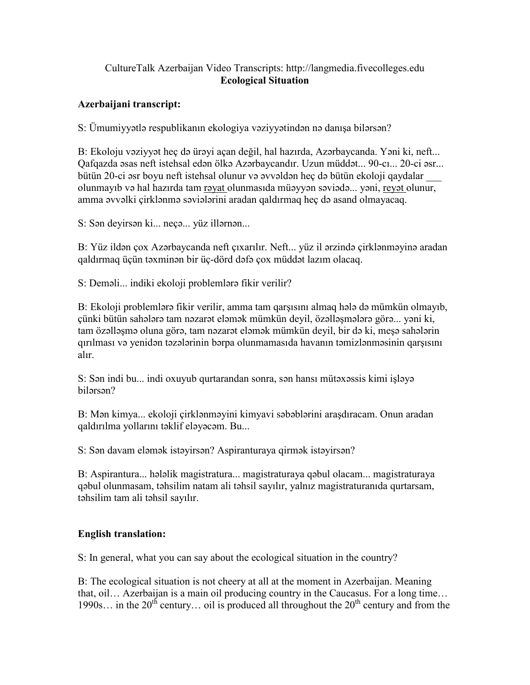## CultureTalk Azerbaijan Video Transcripts: http://langmedia.fivecolleges.edu Ecological Situation

## Azerbaijani transcript:

S: Ümumiyyətlə respublikanın ekologiya vəziyyətindən nə danışa bilərsən?

B: Ekoloju vəziyyət heç də ürəyi açan değil, hal hazırda, Azərbaycanda. Yəni ki, neft... Qafqazda əsas neft istehsal edən ölkə Azərbaycandır. Uzun müddət... 90-cı... 20-ci əsr... bütün 20-ci əsr boyu neft istehsal olunur və əvvəldən heç də bütün ekoloji qaydalar \_\_\_ olunmayıb və hal hazırda tam rəyat olunmasıda müəyyən səviədə... yəni, reyət olunur, amma əvvəlki çirklənmə səviələrini aradan qaldırmaq heç də asand olmayacaq.

S: Sən deyirsən ki... neçə... yüz illərnən...

B: Yüz ildən çox Azərbaycanda neft çıxarılır. Neft... yüz il ərzində çirklənməyinə aradan qaldırmaq üçün təxminən bir üç-dörd dəfə çox müddət lazım olacaq.

S: Deməli... indiki ekoloji problemlərə fikir verilir?

B: Ekoloji problemlərə fikir verilir, amma tam qarşısını almaq hələ də mümkün olmayıb, çünki bütün sahələrə tam nəzarət eləmək mümkün deyil, özəlləşmələrə görə... yəni ki, tam özəlləşmə oluna görə, tam nəzarət eləmək mümkün deyil, bir də ki, meşə sahələrin qırılması və yenidən təzələrinin bərpa olunmamasıda havanın təmizlənməsinin qarşısını alır.

S: Sən indi bu... indi oxuyub qurtarandan sonra, sən hansı mütəxəssis kimi işləyə bilərsən?

B: Mən kimya... ekoloji çirklənməyini kimyavi səbəblərini araşdıracam. Onun aradan qaldırılma yollarını təklif eləyəcəm. Bu...

S: Sən davam eləmək istəyirsən? Aspiranturaya qirmək istəyirsən?

B: Aspirantura... hələlik magistratura... magistraturaya qəbul olacam... magistraturaya qəbul olunmasam, təhsilim natam ali təhsil sayılır, yalnız magistraturanıda qurtarsam, təhsilim tam ali təhsil sayılır.

## English translation:

S: In general, what you can say about the ecological situation in the country?

B: The ecological situation is not cheery at all at the moment in Azerbaijan. Meaning that, oil… Azerbaijan is a main oil producing country in the Caucasus. For a long time… 1990s... in the  $20^{th}$  century... oil is produced all throughout the  $20^{th}$  century and from the